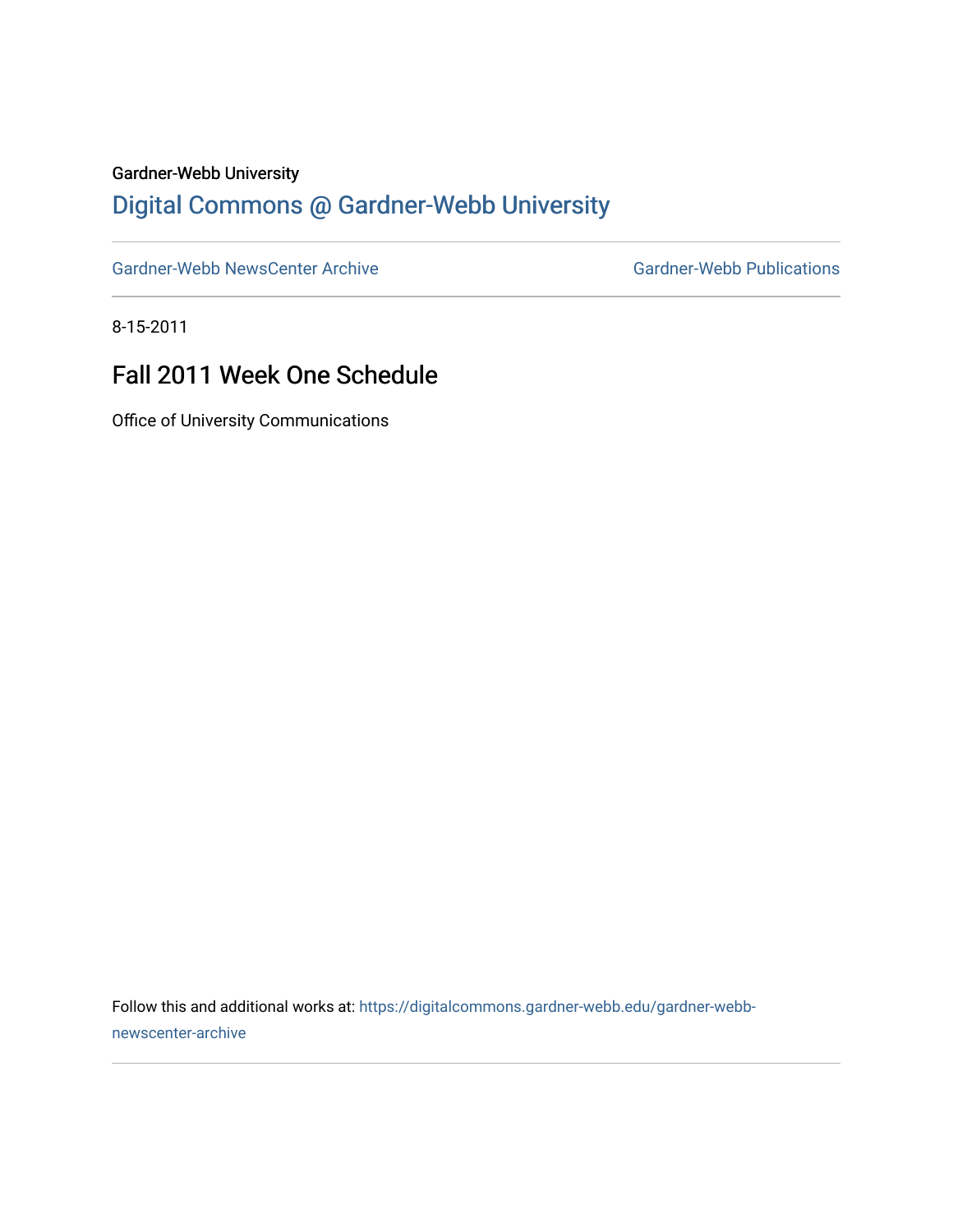#### Gardner-Webb University

# [Digital Commons @ Gardner-Webb University](https://digitalcommons.gardner-webb.edu/)

[Gardner-Webb NewsCenter Archive](https://digitalcommons.gardner-webb.edu/gardner-webb-newscenter-archive) Gardner-Webb Publications

8-15-2011

# Fall 2011 Week One Schedule

Office of University Communications

Follow this and additional works at: [https://digitalcommons.gardner-webb.edu/gardner-webb](https://digitalcommons.gardner-webb.edu/gardner-webb-newscenter-archive?utm_source=digitalcommons.gardner-webb.edu%2Fgardner-webb-newscenter-archive%2F2041&utm_medium=PDF&utm_campaign=PDFCoverPages)[newscenter-archive](https://digitalcommons.gardner-webb.edu/gardner-webb-newscenter-archive?utm_source=digitalcommons.gardner-webb.edu%2Fgardner-webb-newscenter-archive%2F2041&utm_medium=PDF&utm_campaign=PDFCoverPages)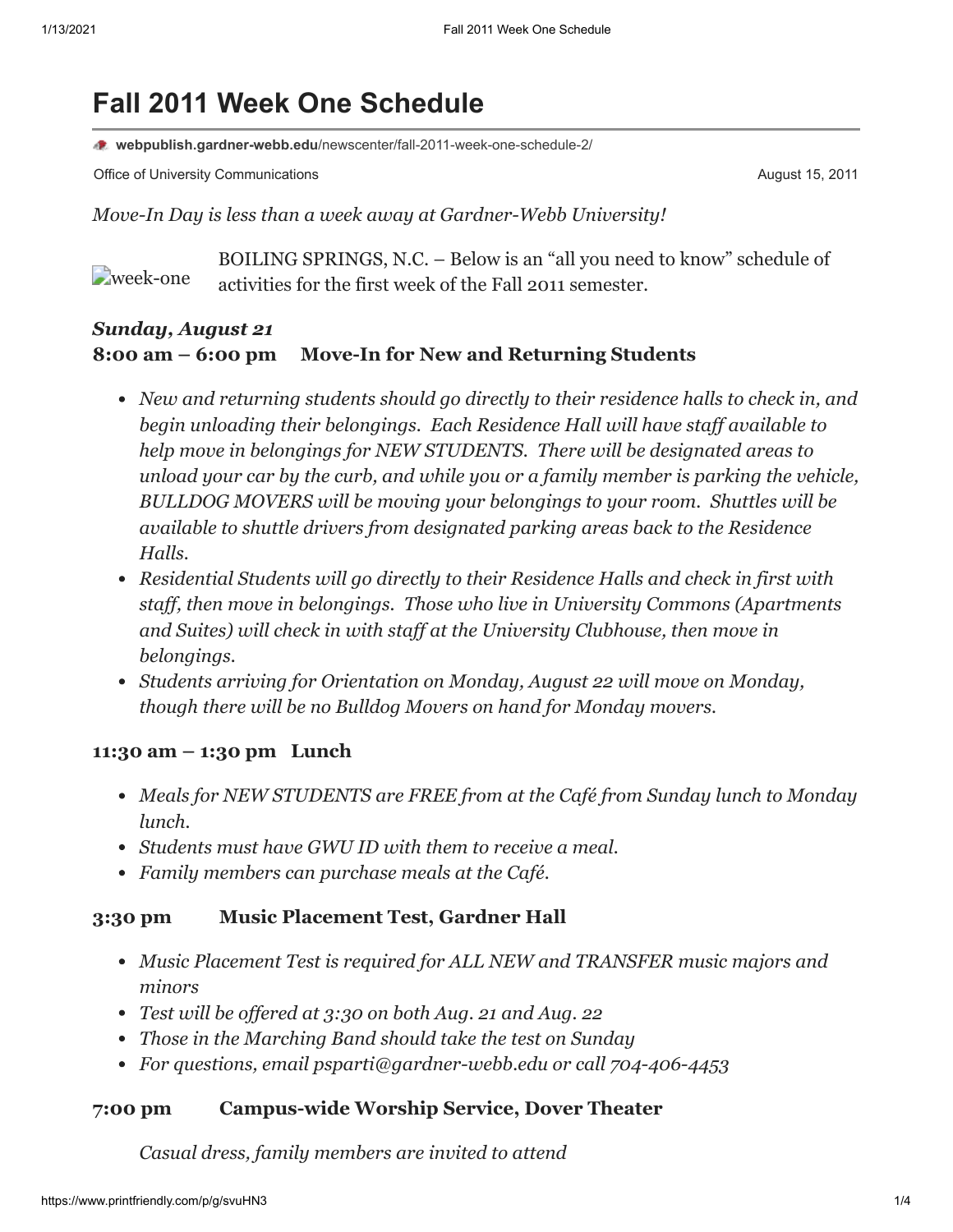# **Fall 2011 Week One Schedule**

**webpublish.gardner-webb.edu**[/newscenter/fall-2011-week-one-schedule-2/](https://webpublish.gardner-webb.edu/newscenter/fall-2011-week-one-schedule-2/)

Office of University Communications **August 15, 2011 August 15, 2011** 

*Move-In Day is less than a week away at Gardner-Webb University!*

**E**[week-one](http://152.44.63.252/newscenter/?attachment_id=875) BOILING SPRINGS, N.C. – Below is an "all you need to know" schedule of activities for the first week of the Fall 2011 semester.

# *Sunday, August 21* **8:00 am – 6:00 pm Move-In for New and Returning Students**

- *New and returning students should go directly to their residence halls to check in, and begin unloading their belongings. Each Residence Hall will have staff available to help move in belongings for NEW STUDENTS. There will be designated areas to unload your car by the curb, and while you or a family member is parking the vehicle, BULLDOG MOVERS will be moving your belongings to your room. Shuttles will be available to shuttle drivers from designated parking areas back to the Residence Halls.*
- *Residential Students will go directly to their Residence Halls and check in first with staff, then move in belongings. Those who live in University Commons (Apartments and Suites) will check in with staff at the University Clubhouse, then move in belongings.*
- *Students arriving for Orientation on Monday, August 22 will move on Monday, though there will be no Bulldog Movers on hand for Monday movers.*

#### **11:30 am – 1:30 pm Lunch**

- *Meals for NEW STUDENTS are FREE from at the Café from Sunday lunch to Monday lunch.*
- *Students must have GWU ID with them to receive a meal.*
- *Family members can purchase meals at the Café.*

#### **3:30 pm Music Placement Test, Gardner Hall**

- *Music Placement Test is required for ALL NEW and TRANSFER music majors and minors*
- *Test will be offered at 3:30 on both Aug. 21 and Aug. 22*
- *Those in the Marching Band should take the test on Sunday*
- *For questions, email [psparti@gardner-webb.edu](mailto:psparti@gardner-webb.edu) or call 704-406-4453*

#### **7:00 pm Campus-wide Worship Service, Dover Theater**

*Casual dress, family members are invited to attend*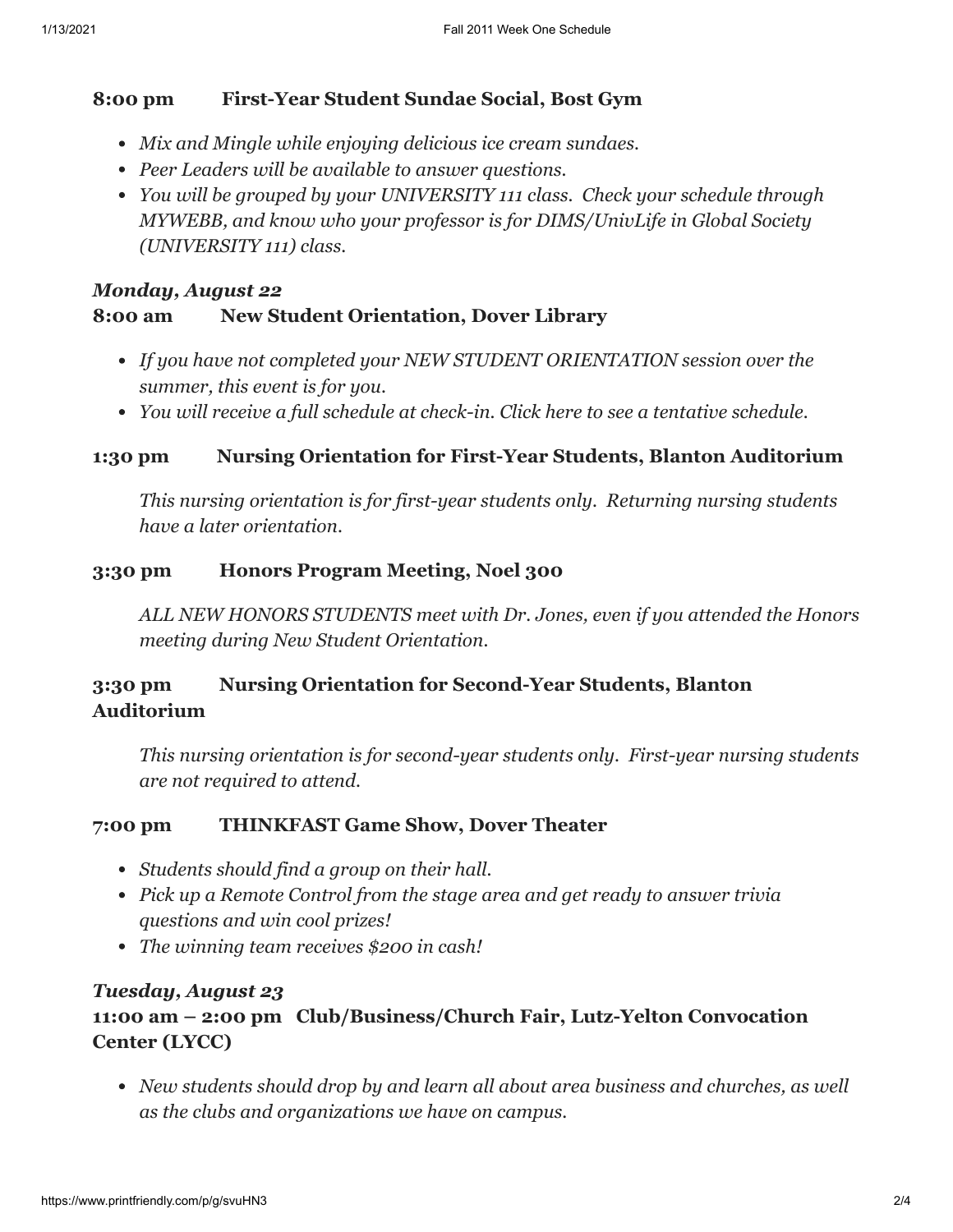## **8:00 pm First-Year Student Sundae Social, Bost Gym**

- *Mix and Mingle while enjoying delicious ice cream sundaes.*
- *Peer Leaders will be available to answer questions.*
- *You will be grouped by your UNIVERSITY 111 class. Check your schedule through MYWEBB, and know who your professor is for DIMS/UnivLife in Global Society (UNIVERSITY 111) class.*

## *Monday, August 22* **8:00 am New Student Orientation, Dover Library**

- *If you have not completed your NEW STUDENT ORIENTATION session over the summer, this event is for you.*
- *You will receive a full schedule at check-in. [Click here](http://www.gardner-webb.edu/admissions/undergrad-admissions/first-year-programs/orientation/schedule/index.html) to see a tentative schedule.*

## **1:30 pm Nursing Orientation for First-Year Students, Blanton Auditorium**

*This nursing orientation is for first-year students only. Returning nursing students have a later orientation.*

### **3:30 pm Honors Program Meeting, Noel 300**

*ALL NEW HONORS STUDENTS meet with Dr. Jones, even if you attended the Honors meeting during New Student Orientation.*

## **3:30 pm Nursing Orientation for Second-Year Students, Blanton Auditorium**

*This nursing orientation is for second-year students only. First-year nursing students are not required to attend.*

### **7:00 pm THINKFAST Game Show, Dover Theater**

- *Students should find a group on their hall.*
- *Pick up a Remote Control from the stage area and get ready to answer trivia questions and win cool prizes!*
- *The winning team receives \$200 in cash!*

# *Tuesday, August 23*

# **11:00 am – 2:00 pm Club/Business/Church Fair, Lutz-Yelton Convocation Center (LYCC)**

*New students should drop by and learn all about area business and churches, as well as the clubs and organizations we have on campus.*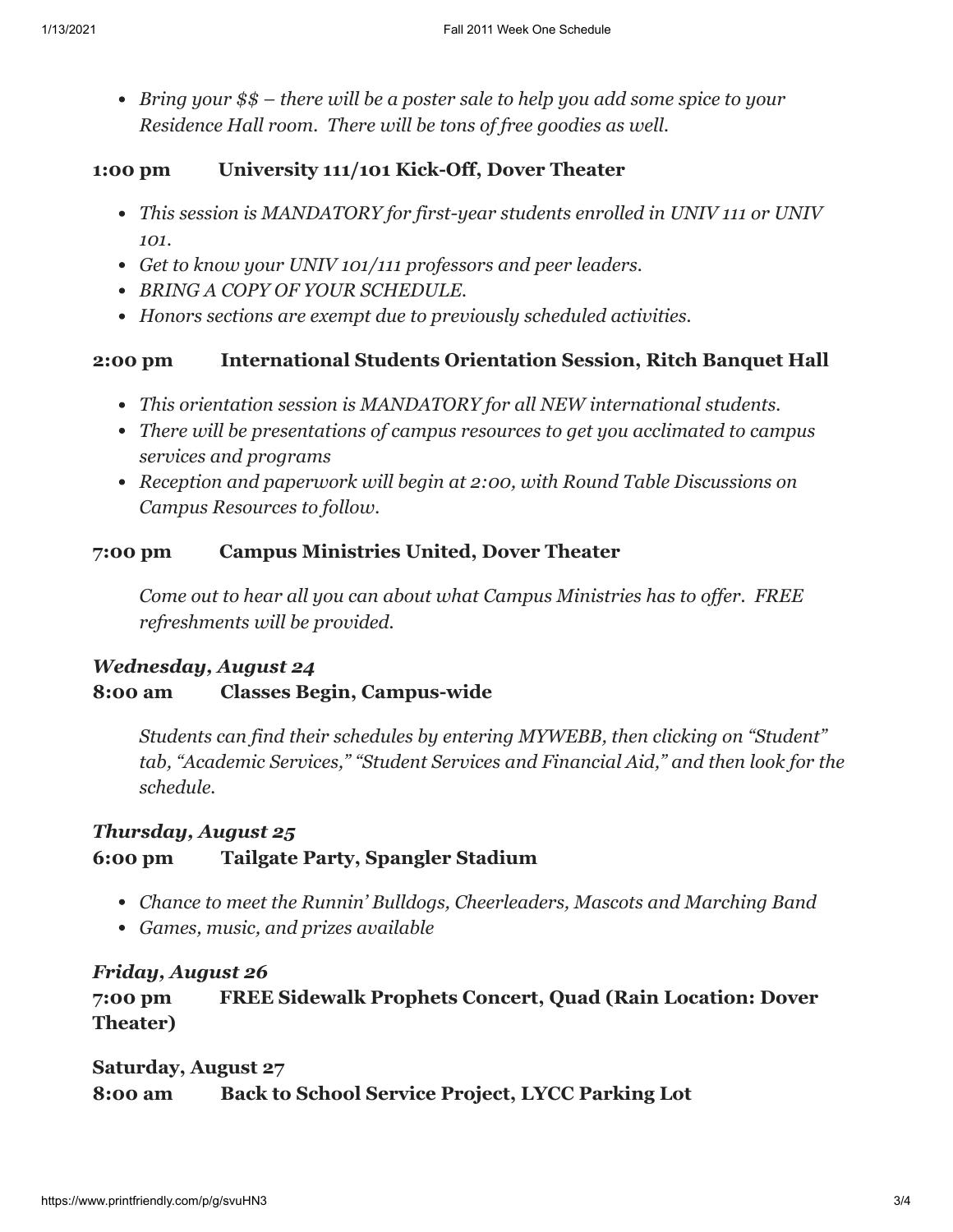*Bring your \$\$ – there will be a poster sale to help you add some spice to your Residence Hall room. There will be tons of free goodies as well.*

#### **1:00 pm University 111/101 Kick-Off, Dover Theater**

- *This session is MANDATORY for first-year students enrolled in UNIV 111 or UNIV 101.*
- *Get to know your UNIV 101/111 professors and peer leaders.*
- *BRING A COPY OF YOUR SCHEDULE.*
- *Honors sections are exempt due to previously scheduled activities.*

### **2:00 pm International Students Orientation Session, Ritch Banquet Hall**

- *This orientation session is MANDATORY for all NEW international students.*
- *There will be presentations of campus resources to get you acclimated to campus services and programs*
- *Reception and paperwork will begin at 2:00, with Round Table Discussions on Campus Resources to follow.*

## **7:00 pm Campus Ministries United, Dover Theater**

*Come out to hear all you can about what Campus Ministries has to offer. FREE refreshments will be provided.*

# *Wednesday, August 24* **8:00 am Classes Begin, Campus-wide**

*Students can find their schedules by entering MYWEBB, then clicking on "Student" tab, "Academic Services," "Student Services and Financial Aid," and then look for the schedule.*

# *Thursday, August 25* **6:00 pm Tailgate Party, Spangler Stadium**

- *Chance to meet the Runnin' Bulldogs, Cheerleaders, Mascots and Marching Band*
- *Games, music, and prizes available*

### *Friday, August 26*

**7:00 pm FREE Sidewalk Prophets Concert, Quad (Rain Location: Dover Theater)**

# **Saturday, August 27 8:00 am Back to School Service Project, LYCC Parking Lot**